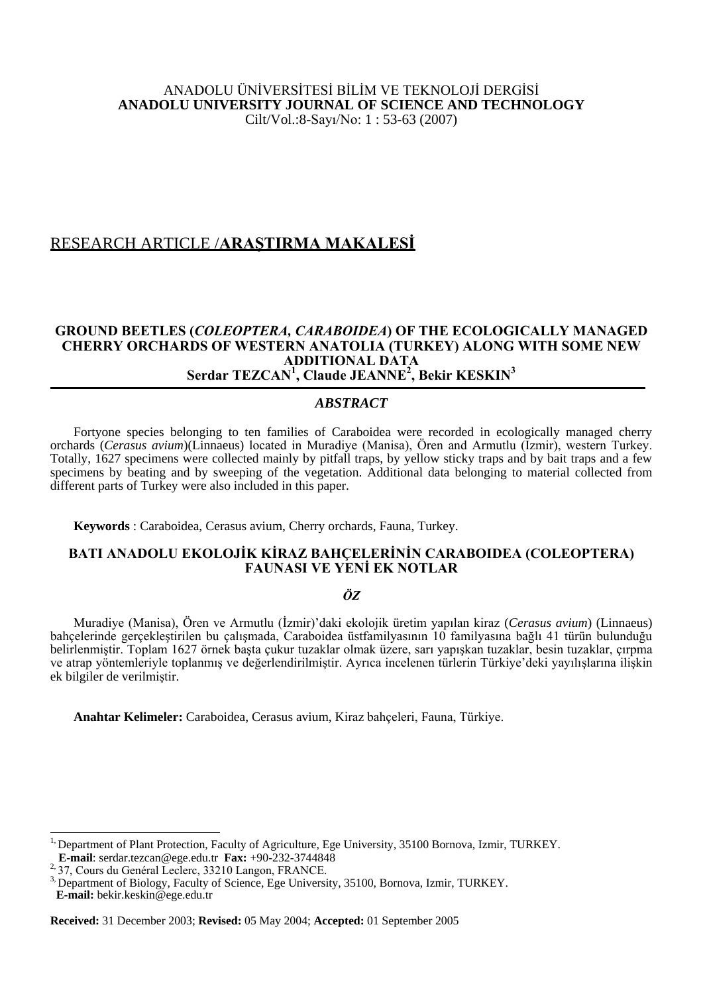## ANADOLU ÜNİVERSİTESİ BİLİM VE TEKNOLOJİ DERGİSİ **ANADOLU UNIVERSITY JOURNAL OF SCIENCE AND TECHNOLOGY** Cilt/Vol.:8-Sayı/No: 1 : 53-63 (2007)

# RESEARCH ARTICLE /**ARAŞTIRMA MAKALESİ**

## **GROUND BEETLES (***COLEOPTERA, CARABOIDEA***) OF THE ECOLOGICALLY MANAGED CHERRY ORCHARDS OF WESTERN ANATOLIA (TURKEY) ALONG WITH SOME NEW ADDITIONAL DATA Serdar TEZCAN<sup>1</sup> , Claude JEANNE<sup>2</sup> , Bekir KESKIN<sup>3</sup>**

## *ABSTRACT*

Fortyone species belonging to ten families of Caraboidea were recorded in ecologically managed cherry orchards (*Cerasus avium*)(Linnaeus) located in Muradiye (Manisa), Ören and Armutlu (Izmir), western Turkey. Totally, 1627 specimens were collected mainly by pitfall traps, by yellow sticky traps and by bait traps and a few specimens by beating and by sweeping of the vegetation. Additional data belonging to material collected from different parts of Turkey were also included in this paper.

**Keywords** : Caraboidea, Cerasus avium, Cherry orchards, Fauna, Turkey.

## **BATI ANADOLU EKOLOJİK KİRAZ BAHÇELERİNİN CARABOIDEA (COLEOPTERA) FAUNASI VE YENİ EK NOTLAR**

## *ÖZ*

Muradiye (Manisa), Ören ve Armutlu (İzmir)'daki ekolojik üretim yapılan kiraz (*Cerasus avium*) (Linnaeus) bahçelerinde gerçekleştirilen bu çalışmada, Caraboidea üstfamilyasının 10 familyasına bağlı 41 türün bulunduğu belirlenmiştir. Toplam 1627 örnek başta çukur tuzaklar olmak üzere, sarı yapışkan tuzaklar, besin tuzaklar, çırpma ve atrap yöntemleriyle toplanmış ve değerlendirilmiştir. Ayrıca incelenen türlerin Türkiye'deki yayılışlarına ilişkin ek bilgiler de verilmiştir.

**Anahtar Kelimeler:** Caraboidea, Cerasus avium, Kiraz bahçeleri, Fauna, Türkiye.

 $\overline{a}$ 

<sup>&</sup>lt;sup>1,</sup> Department of Plant Protection, Faculty of Agriculture, Ege University, 35100 Bornova, Izmir, TURKEY. **E-mail**: serdar.tezcan@ege.edu.tr **Fax:** +90-232-3744848

<sup>&</sup>lt;sup>2</sup>, 37, Cours du Genéral Leclerc, 33210 Langon, FRANCE.

<sup>3,</sup> Department of Biology, Faculty of Science, Ege University, 35100, Bornova, Izmir, TURKEY. **E-mail:** bekir.keskin@ege.edu.tr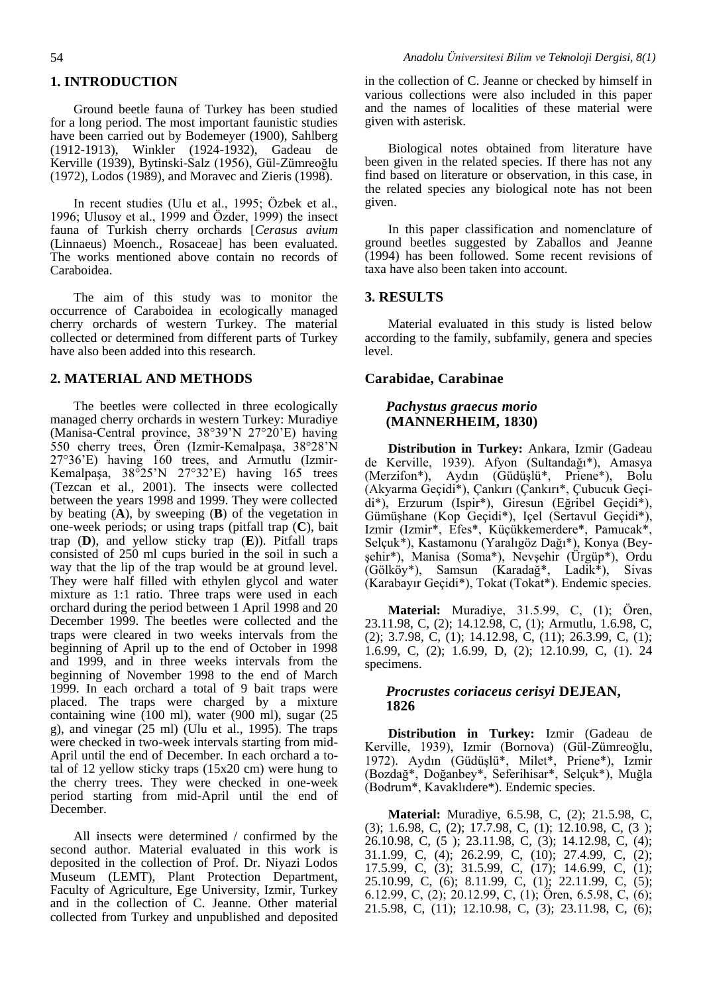## **1. INTRODUCTION**

Ground beetle fauna of Turkey has been studied for a long period. The most important faunistic studies have been carried out by Bodemeyer (1900), Sahlberg (1912-1913), Winkler (1924-1932), Gadeau de Kerville (1939), Bytinski-Salz (1956), Gül-Zümreoğlu (1972), Lodos (1989), and Moravec and Zieris (1998).

In recent studies (Ulu et al., 1995; Özbek et al., 1996; Ulusoy et al., 1999 and Özder, 1999) the insect fauna of Turkish cherry orchards [*Cerasus avium* (Linnaeus) Moench., Rosaceae] has been evaluated. The works mentioned above contain no records of Caraboidea.

The aim of this study was to monitor the occurrence of Caraboidea in ecologically managed cherry orchards of western Turkey. The material collected or determined from different parts of Turkey have also been added into this research.

#### **2. MATERIAL AND METHODS**

The beetles were collected in three ecologically managed cherry orchards in western Turkey: Muradiye (Manisa-Central province, 38°39'N 27°20'E) having 550 cherry trees, Ören (Izmir-Kemalpaşa, 38°28'N 27°36'E) having 160 trees, and Armutlu (Izmir-Kemalpaşa, 38°25'N 27°32'E) having 165 trees (Tezcan et al., 2001). The insects were collected between the years 1998 and 1999. They were collected by beating (**A**), by sweeping (**B**) of the vegetation in one-week periods; or using traps (pitfall trap (**C**), bait trap (**D**), and yellow sticky trap (**E**)). Pitfall traps consisted of 250 ml cups buried in the soil in such a way that the lip of the trap would be at ground level. They were half filled with ethylen glycol and water mixture as 1:1 ratio. Three traps were used in each orchard during the period between 1 April 1998 and 20 December 1999. The beetles were collected and the traps were cleared in two weeks intervals from the beginning of April up to the end of October in 1998 and 1999, and in three weeks intervals from the beginning of November 1998 to the end of March 1999. In each orchard a total of 9 bait traps were placed. The traps were charged by a mixture containing wine (100 ml), water (900 ml), sugar (25 g), and vinegar (25 ml) (Ulu et al., 1995). The traps were checked in two-week intervals starting from mid-April until the end of December. In each orchard a total of 12 yellow sticky traps (15x20 cm) were hung to the cherry trees. They were checked in one-week period starting from mid-April until the end of December.

All insects were determined / confirmed by the second author. Material evaluated in this work is deposited in the collection of Prof. Dr. Niyazi Lodos Museum (LEMT), Plant Protection Department, Faculty of Agriculture, Ege University, Izmir, Turkey and in the collection of C. Jeanne. Other material collected from Turkey and unpublished and deposited in the collection of C. Jeanne or checked by himself in various collections were also included in this paper and the names of localities of these material were given with asterisk.

Biological notes obtained from literature have been given in the related species. If there has not any find based on literature or observation, in this case, in the related species any biological note has not been given.

In this paper classification and nomenclature of ground beetles suggested by Zaballos and Jeanne (1994) has been followed. Some recent revisions of taxa have also been taken into account.

## **3. RESULTS**

Material evaluated in this study is listed below according to the family, subfamily, genera and species level.

### **Carabidae, Carabinae**

### *Pachystus graecus morio* **(MANNERHEIM, 1830)**

**Distribution in Turkey:** Ankara, Izmir (Gadeau de Kerville, 1939). Afyon (Sultandağı\*), Amasya (Merzifon\*), Aydın (Güdüşlü\*, Priene\*), Bolu (Akyarma Geçidi\*), Çankırı (Çankırı\*, Çubucuk Geçidi\*), Erzurum (Ispir\*), Giresun (Eğribel Geçidi\*), Gümüşhane (Kop Geçidi\*), Içel (Sertavul Geçidi\*), Izmir (Izmir\*, Efes\*, Küçükkemerdere\*, Pamucak\*, Selçuk\*), Kastamonu (Yaralıgöz Dağı\*), Konya (Beyşehir\*), Manisa (Soma\*), Nevşehir (Ürgüp\*), Ordu (Gölköy\*), Samsun (Karadağ\*, Ladik\*), Sivas (Karabayır Geçidi\*), Tokat (Tokat\*). Endemic species.

**Material:** Muradiye, 31.5.99, C, (1); Ören, 23.11.98, C, (2); 14.12.98, C, (1); Armutlu, 1.6.98, C, (2); 3.7.98, C, (1); 14.12.98, C, (11); 26.3.99, C, (1); 1.6.99, C, (2); 1.6.99, D, (2); 12.10.99, C, (1). 24 specimens.

## *Procrustes coriaceus cerisyi* **DEJEAN, 1826**

**Distribution in Turkey:** Izmir (Gadeau de Kerville, 1939), Izmir (Bornova) (Gül-Zümreoğlu, 1972). Aydın (Güdüşlü\*, Milet\*, Priene\*), Izmir (Bozdağ\*, Doğanbey\*, Seferihisar\*, Selçuk\*), Muğla (Bodrum\*, Kavaklıdere\*). Endemic species.

**Material:** Muradiye, 6.5.98, C, (2); 21.5.98, C, (3); 1.6.98, C, (2); 17.7.98, C, (1); 12.10.98, C, (3 ); 26.10.98, C, (5 ); 23.11.98, C, (3); 14.12.98, C, (4); 31.1.99, C, (4); 26.2.99, C, (10); 27.4.99, C, (2); 17.5.99, C, (3); 31.5.99, C, (17); 14.6.99, C, (1); 25.10.99, C, (6); 8.11.99, C, (1); 22.11.99, C, (5); 6.12.99, C, (2); 20.12.99, C, (1); Ören, 6.5.98, C, (6); 21.5.98, C, (11); 12.10.98, C, (3); 23.11.98, C, (6);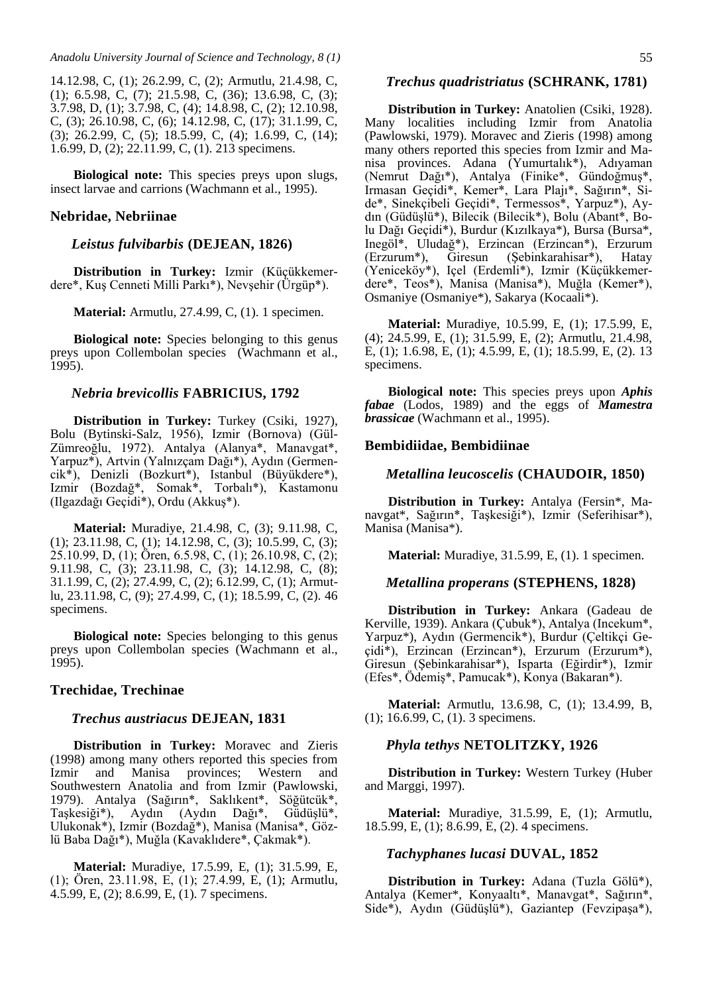14.12.98, C, (1); 26.2.99, C, (2); Armutlu, 21.4.98, C, (1); 6.5.98, C, (7); 21.5.98, C, (36); 13.6.98, C, (3); 3.7.98, D, (1); 3.7.98, C, (4); 14.8.98, C, (2); 12.10.98, C, (3); 26.10.98, C, (6); 14.12.98, C, (17); 31.1.99, C, (3); 26.2.99, C, (5); 18.5.99, C, (4); 1.6.99, C, (14); 1.6.99, D, (2); 22.11.99, C, (1). 213 specimens.

**Biological note:** This species preys upon slugs, insect larvae and carrions (Wachmann et al., 1995).

### **Nebridae, Nebriinae**

### *Leistus fulvibarbis* **(DEJEAN, 1826)**

**Distribution in Turkey:** Izmir (Küçükkemerdere\*, Kuş Cenneti Milli Parkı\*), Nevşehir (Ürgüp\*).

**Material:** Armutlu, 27.4.99, C, (1). 1 specimen.

**Biological note:** Species belonging to this genus preys upon Collembolan species (Wachmann et al., 1995).

#### *Nebria brevicollis* **FABRICIUS, 1792**

**Distribution in Turkey:** Turkey (Csiki, 1927), Bolu (Bytinski-Salz, 1956), Izmir (Bornova) (Gül-Zümreoğlu, 1972). Antalya (Alanya\*, Manavgat\*, Yarpuz\*), Artvin (Yalnızçam Dağı\*), Aydın (Germencik\*), Denizli (Bozkurt\*), Istanbul (Büyükdere\*), Izmir (Bozdağ\*, Somak\*, Torbalı\*), Kastamonu (Ilgazdağı Geçidi\*), Ordu (Akkuş\*).

**Material:** Muradiye, 21.4.98, C, (3); 9.11.98, C, (1); 23.11.98, C, (1); 14.12.98, C, (3); 10.5.99, C, (3); 25.10.99, D, (1); Ören, 6.5.98, C, (1); 26.10.98, C, (2); 9.11.98, C, (3); 23.11.98, C, (3); 14.12.98, C, (8); 31.1.99, C, (2); 27.4.99, C, (2); 6.12.99, C, (1); Armutlu, 23.11.98, C, (9); 27.4.99, C, (1); 18.5.99, C, (2). 46 specimens.

**Biological note:** Species belonging to this genus preys upon Collembolan species (Wachmann et al., 1995).

## **Trechidae, Trechinae**

#### *Trechus austriacus* **DEJEAN, 1831**

**Distribution in Turkey:** Moravec and Zieris (1998) among many others reported this species from Izmir and Manisa provinces; Western and Southwestern Anatolia and from Izmir (Pawlowski, 1979). Antalya (Sağırın\*, Saklıkent\*, Söğütcük\*, Taşkesiği\*), Aydın (Aydın Dağı\*, Güdüşlü\*, Ulukonak\*), Izmir (Bozdağ\*), Manisa (Manisa\*, Gözlü Baba Dağı\*), Muğla (Kavaklıdere\*, Çakmak\*).

**Material:** Muradiye, 17.5.99, E, (1); 31.5.99, E, (1); Ören, 23.11.98, E, (1); 27.4.99, E, (1); Armutlu, 4.5.99, E, (2); 8.6.99, E, (1). 7 specimens.

#### *Trechus quadristriatus* **(SCHRANK, 1781)**

**Distribution in Turkey:** Anatolien (Csiki, 1928). Many localities including Izmir from Anatolia (Pawlowski, 1979). Moravec and Zieris (1998) among many others reported this species from Izmir and Manisa provinces. Adana (Yumurtalık\*), Adıyaman (Nemrut Dağı\*), Antalya (Finike\*, Gündoğmuş\*, Irmasan Geçidi\*, Kemer\*, Lara Plajı\*, Sağırın\*, Side\*, Sinekçibeli Geçidi\*, Termessos\*, Yarpuz\*), Aydın (Güdüşlü\*), Bilecik (Bilecik\*), Bolu (Abant\*, Bolu Dağı Geçidi\*), Burdur (Kızılkaya\*), Bursa (Bursa\*, Inegöl\*, Uludağ\*), Erzincan (Erzincan\*), Erzurum (Erzurum\*), Giresun (Şebinkarahisar\*), Hatay (Yeniceköy\*), Içel (Erdemli\*), Izmir (Küçükkemerdere\*, Teos\*), Manisa (Manisa\*), Muğla (Kemer\*), Osmaniye (Osmaniye\*), Sakarya (Kocaali\*).

**Material:** Muradiye, 10.5.99, E, (1); 17.5.99, E, (4); 24.5.99, E, (1); 31.5.99, E, (2); Armutlu, 21.4.98, E, (1); 1.6.98, E, (1); 4.5.99, E, (1); 18.5.99, E, (2). 13 specimens.

**Biological note:** This species preys upon *Aphis fabae* (Lodos, 1989) and the eggs of *Mamestra brassicae* (Wachmann et al., 1995).

#### **Bembidiidae, Bembidiinae**

#### *Metallina leucoscelis* **(CHAUDOIR, 1850)**

**Distribution in Turkey:** Antalya (Fersin\*, Manavgat\*, Sağırın\*, Taşkesiği\*), Izmir (Seferihisar\*), Manisa (Manisa\*).

**Material:** Muradiye, 31.5.99, E, (1). 1 specimen.

## *Metallina properans* **(STEPHENS, 1828)**

**Distribution in Turkey:** Ankara (Gadeau de Kerville, 1939). Ankara (Çubuk\*), Antalya (Incekum\*, Yarpuz\*), Aydın (Germencik\*), Burdur (Çeltikçi Geçidi\*), Erzincan (Erzincan\*), Erzurum (Erzurum\*), Giresun (Şebinkarahisar\*), Isparta (Eğirdir\*), Izmir (Efes\*, Ödemiş\*, Pamucak\*), Konya (Bakaran\*).

**Material:** Armutlu, 13.6.98, C, (1); 13.4.99, B, (1); 16.6.99, C, (1). 3 specimens.

## *Phyla tethys* **NETOLITZKY, 1926**

**Distribution in Turkey:** Western Turkey (Huber and Marggi, 1997).

**Material:** Muradiye, 31.5.99, E, (1); Armutlu, 18.5.99, E, (1); 8.6.99, E, (2). 4 specimens.

#### *Tachyphanes lucasi* **DUVAL, 1852**

**Distribution in Turkey:** Adana (Tuzla Gölü\*), Antalya (Kemer\*, Konyaaltı\*, Manavgat\*, Sağırın\*, Side\*), Aydın (Güdüşlü\*), Gaziantep (Fevzipaşa\*),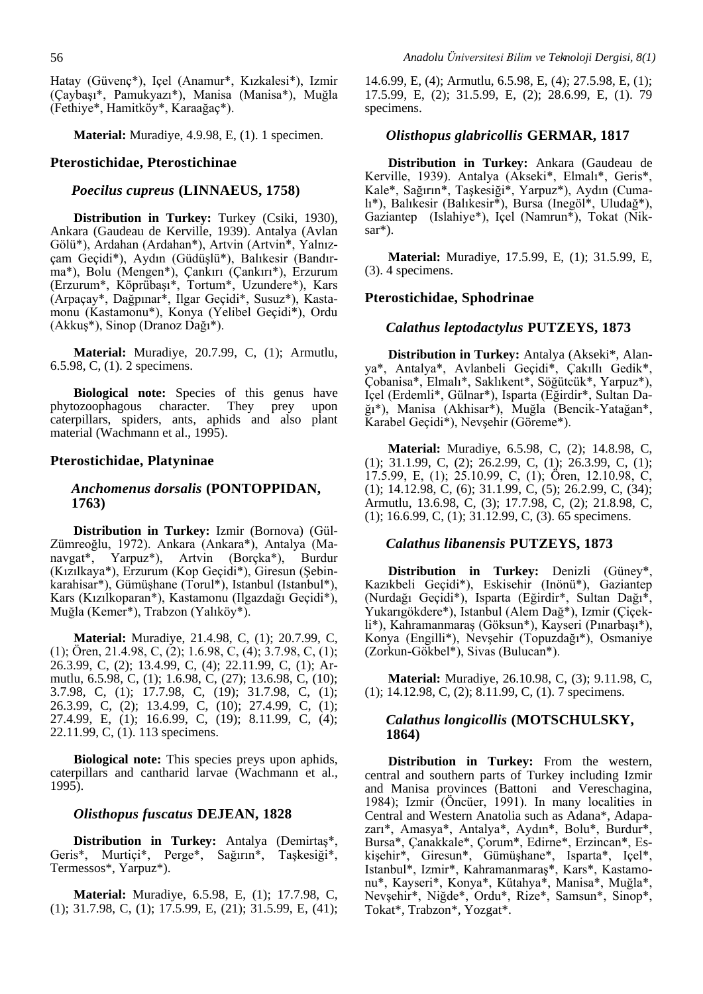Hatay (Güvenç\*), Içel (Anamur\*, Kızkalesi\*), Izmir (Çaybaşı\*, Pamukyazı\*), Manisa (Manisa\*), Muğla (Fethiye\*, Hamitköy\*, Karaağaç\*).

**Material:** Muradiye, 4.9.98, E, (1). 1 specimen.

#### **Pterostichidae, Pterostichinae**

#### *Poecilus cupreus* **(LINNAEUS, 1758)**

**Distribution in Turkey:** Turkey (Csiki, 1930), Ankara (Gaudeau de Kerville, 1939). Antalya (Avlan Gölü\*), Ardahan (Ardahan\*), Artvin (Artvin\*, Yalnızçam Geçidi\*), Aydın (Güdüşlü\*), Balıkesir (Bandırma\*), Bolu (Mengen\*), Çankırı (Çankırı\*), Erzurum (Erzurum\*, Köprübaşı\*, Tortum\*, Uzundere\*), Kars (Arpaçay\*, Dağpınar\*, Ilgar Geçidi\*, Susuz\*), Kastamonu (Kastamonu\*), Konya (Yelibel Geçidi\*), Ordu (Akkuş\*), Sinop (Dranoz Dağı\*).

**Material:** Muradiye, 20.7.99, C, (1); Armutlu, 6.5.98, C, (1). 2 specimens.

**Biological note:** Species of this genus have phytozoophagous character. They prey upon caterpillars, spiders, ants, aphids and also plant material (Wachmann et al., 1995).

## **Pterostichidae, Platyninae**

## *Anchomenus dorsalis* **(PONTOPPIDAN, 1763)**

**Distribution in Turkey:** Izmir (Bornova) (Gül-Zümreoğlu, 1972). Ankara (Ankara\*), Antalya (Manavgat\*, Yarpuz\*), Artvin (Borçka\*), Burdur (Kızılkaya\*), Erzurum (Kop Geçidi\*), Giresun (Şebinkarahisar\*), Gümüşhane (Torul\*), Istanbul (Istanbul\*), Kars (Kızılkoparan\*), Kastamonu (Ilgazdağı Geçidi\*), Muğla (Kemer\*), Trabzon (Yalıköy\*).

**Material:** Muradiye, 21.4.98, C, (1); 20.7.99, C, (1); Ören, 21.4.98, C, (2); 1.6.98, C, (4); 3.7.98, C, (1); 26.3.99, C, (2); 13.4.99, C, (4); 22.11.99, C, (1); Armutlu, 6.5.98, C, (1); 1.6.98, C, (27); 13.6.98, C, (10); 3.7.98, C, (1); 17.7.98, C, (19); 31.7.98, C, (1); 26.3.99, C, (2); 13.4.99, C, (10); 27.4.99, C, (1); 27.4.99, E, (1); 16.6.99, C, (19); 8.11.99, C, (4); 22.11.99, C, (1). 113 specimens.

**Biological note:** This species preys upon aphids, caterpillars and cantharid larvae (Wachmann et al., 1995).

#### *Olisthopus fuscatus* **DEJEAN, 1828**

**Distribution in Turkey:** Antalya (Demirtaş\*, Geris\*, Murtiçi\*, Perge\*, Sağırın\*, Taşkesiği\*, Termessos\*, Yarpuz\*).

**Material:** Muradiye, 6.5.98, E, (1); 17.7.98, C, (1); 31.7.98, C, (1); 17.5.99, E, (21); 31.5.99, E, (41);

14.6.99, E, (4); Armutlu, 6.5.98, E, (4); 27.5.98, E, (1); 17.5.99, E, (2); 31.5.99, E, (2); 28.6.99, E, (1). 79 specimens.

#### *Olisthopus glabricollis* **GERMAR, 1817**

**Distribution in Turkey:** Ankara (Gaudeau de Kerville, 1939). Antalya (Akseki\*, Elmalı\*, Geris\*, Kale\*, Sağırın\*, Taşkesiği\*, Yarpuz\*), Aydın (Cumalı\*), Balıkesir (Balıkesir\*), Bursa (Inegöl\*, Uludağ\*), Gaziantep (Islahiye\*), Içel (Namrun\*), Tokat (Niksar\*).

**Material:** Muradiye, 17.5.99, E, (1); 31.5.99, E, (3). 4 specimens.

### **Pterostichidae, Sphodrinae**

#### *Calathus leptodactylus* **PUTZEYS, 1873**

**Distribution in Turkey:** Antalya (Akseki\*, Alanya\*, Antalya\*, Avlanbeli Geçidi\*, Çakıllı Gedik\*, Çobanisa\*, Elmalı\*, Saklıkent\*, Söğütcük\*, Yarpuz\*), Içel (Erdemli\*, Gülnar\*), Isparta (Eğirdir\*, Sultan Dağı\*), Manisa (Akhisar\*), Muğla (Bencik-Yatağan\*, Karabel Geçidi\*), Nevşehir (Göreme\*).

**Material:** Muradiye, 6.5.98, C, (2); 14.8.98, C, (1); 31.1.99, C, (2); 26.2.99, C, (1); 26.3.99, C, (1); 17.5.99, E, (1); 25.10.99, C, (1); Ören, 12.10.98, C, (1); 14.12.98, C, (6); 31.1.99, C, (5); 26.2.99, C, (34); Armutlu, 13.6.98, C, (3); 17.7.98, C, (2); 21.8.98, C, (1); 16.6.99, C, (1); 31.12.99, C, (3). 65 specimens.

### *Calathus libanensis* **PUTZEYS, 1873**

**Distribution in Turkey:** Denizli (Güney\*, Kazıkbeli Geçidi\*), Eskisehir (Inönü\*), Gaziantep (Nurdağı Geçidi\*), Isparta (Eğirdir\*, Sultan Dağı\*, Yukarıgökdere\*), Istanbul (Alem Dağ\*), Izmir (Çiçekli\*), Kahramanmaraş (Göksun\*), Kayseri (Pınarbaşı\*), Konya (Engilli\*), Nevşehir (Topuzdağı\*), Osmaniye (Zorkun-Gökbel\*), Sivas (Bulucan\*).

**Material:** Muradiye, 26.10.98, C, (3); 9.11.98, C, (1); 14.12.98, C, (2); 8.11.99, C, (1). 7 specimens.

## *Calathus longicollis* **(MOTSCHULSKY, 1864)**

**Distribution in Turkey:** From the western, central and southern parts of Turkey including Izmir and Manisa provinces (Battoni and Vereschagina, 1984); Izmir (Öncüer, 1991). In many localities in Central and Western Anatolia such as Adana\*, Adapazarı\*, Amasya\*, Antalya\*, Aydın\*, Bolu\*, Burdur\*, Bursa\*, Çanakkale\*, Çorum\*, Edirne\*, Erzincan\*, Eskişehir\*, Giresun\*, Gümüşhane\*, Isparta\*, Içel\*, Istanbul\*, Izmir\*, Kahramanmaraş\*, Kars\*, Kastamonu\*, Kayseri\*, Konya\*, Kütahya\*, Manisa\*, Muğla\*, Nevşehir\*, Niğde\*, Ordu\*, Rize\*, Samsun\*, Sinop\*, Tokat\*, Trabzon\*, Yozgat\*.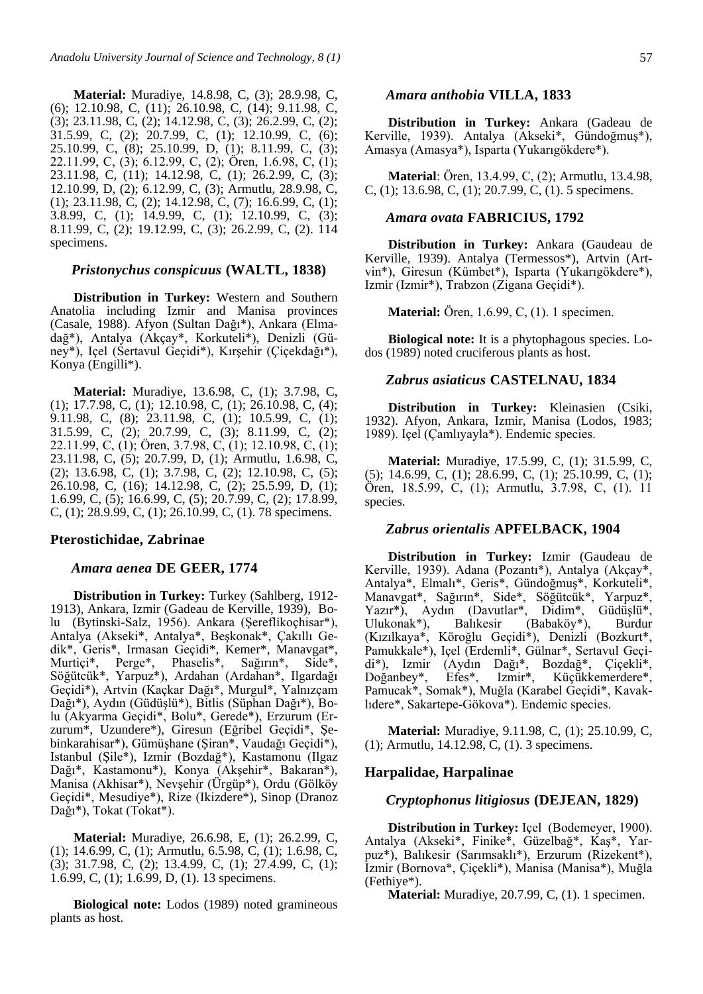**Material:** Muradiye, 14.8.98, C, (3); 28.9.98, C, (6); 12.10.98, C, (11); 26.10.98, C, (14); 9.11.98, C, (3); 23.11.98, C, (2); 14.12.98, C, (3); 26.2.99, C, (2); 31.5.99, C, (2); 20.7.99, C, (1); 12.10.99, C, (6); 25.10.99, C, (8); 25.10.99, D, (1); 8.11.99, C, (3); 22.11.99, C, (3); 6.12.99, C, (2); Ören, 1.6.98, C, (1); 23.11.98, C, (11); 14.12.98, C, (1); 26.2.99, C, (3); 12.10.99, D, (2); 6.12.99, C, (3); Armutlu, 28.9.98, C, (1); 23.11.98, C, (2); 14.12.98, C, (7); 16.6.99, C, (1); 3.8.99, C, (1); 14.9.99, C, (1); 12.10.99, C, (3); 8.11.99, C, (2); 19.12.99, C, (3); 26.2.99, C, (2). 114 specimens.

#### *Pristonychus conspicuus* **(WALTL, 1838)**

**Distribution in Turkey:** Western and Southern Anatolia including Izmir and Manisa provinces (Casale, 1988). Afyon (Sultan Dağı\*), Ankara (Elmadağ\*), Antalya (Akçay\*, Korkuteli\*), Denizli (Güney\*), Içel (Sertavul Geçidi\*), Kırşehir (Çiçekdağı\*), Konya (Engilli\*).

**Material:** Muradiye, 13.6.98, C, (1); 3.7.98, C, (1); 17.7.98, C, (1); 12.10.98, C, (1); 26.10.98, C, (4); 9.11.98, C, (8); 23.11.98, C, (1); 10.5.99, C, (1); 31.5.99, C, (2); 20.7.99, C, (3); 8.11.99, C, (2); 22.11.99, C, (1); Ören, 3.7.98, C, (1); 12.10.98, C, (1); 23.11.98, C, (5); 20.7.99, D, (1); Armutlu, 1.6.98, C, (2); 13.6.98, C, (1); 3.7.98, C, (2); 12.10.98, C, (5); 26.10.98, C, (16); 14.12.98, C, (2); 25.5.99, D, (1); 1.6.99, C, (5); 16.6.99, C, (5); 20.7.99, C, (2); 17.8.99, C, (1); 28.9.99, C, (1); 26.10.99, C, (1). 78 specimens.

## **Pterostichidae, Zabrinae**

#### *Amara aenea* **DE GEER, 1774**

**Distribution in Turkey:** Turkey (Sahlberg, 1912-1913), Ankara, Izmir (Gadeau de Kerville, 1939), Bolu (Bytinski-Salz, 1956). Ankara (Şereflikoçhisar\*), Antalya (Akseki\*, Antalya\*, Beşkonak\*, Çakıllı Gedik\*, Geris\*, Irmasan Geçidi\*, Kemer\*, Manavgat\*, Murtiçi\*, Perge\*, Phaselis\*, Sağırın\*, Side\*, Söğütcük\*, Yarpuz\*), Ardahan (Ardahan\*, Ilgardağı Geçidi\*), Artvin (Kaçkar Dağı\*, Murgul\*, Yalnızçam Dağı\*), Aydın (Güdüşlü\*), Bitlis (Süphan Dağı\*), Bolu (Akyarma Geçidi\*, Bolu\*, Gerede\*), Erzurum (Erzurum\*, Uzundere\*), Giresun (Eğribel Geçidi\*, Şebinkarahisar\*), Gümüşhane (Şiran\*, Vaudağı Geçidi\*), Istanbul (Şile\*), Izmir (Bozdağ\*), Kastamonu (Ilgaz Dağı\*, Kastamonu\*), Konya (Akşehir\*, Bakaran\*), Manisa (Akhisar\*), Nevşehir (Ürgüp\*), Ordu (Gölköy Geçidi\*, Mesudiye\*), Rize (Ikizdere\*), Sinop (Dranoz Dağı\*), Tokat (Tokat\*).

**Material:** Muradiye, 26.6.98, E, (1); 26.2.99, C, (1); 14.6.99, C, (1); Armutlu, 6.5.98, C, (1); 1.6.98, C, (3); 31.7.98, C, (2); 13.4.99, C, (1); 27.4.99, C, (1); 1.6.99, C, (1); 1.6.99, D, (1). 13 specimens.

**Biological note:** Lodos (1989) noted gramineous plants as host.

#### *Amara anthobia* **VILLA, 1833**

**Distribution in Turkey:** Ankara (Gadeau de Kerville, 1939). Antalya (Akseki\*, Gündoğmuş\*), Amasya (Amasya\*), Isparta (Yukarıgökdere\*).

**Material**: Ören, 13.4.99, C, (2); Armutlu, 13.4.98, C, (1); 13.6.98, C, (1); 20.7.99, C, (1). 5 specimens.

#### *Amara ovata* **FABRICIUS, 1792**

**Distribution in Turkey:** Ankara (Gaudeau de Kerville, 1939). Antalya (Termessos\*), Artvin (Artvin\*), Giresun (Kümbet\*), Isparta (Yukarıgökdere\*), Izmir (Izmir\*), Trabzon (Zigana Geçidi\*).

**Material:** Ören, 1.6.99, C, (1). 1 specimen.

**Biological note:** It is a phytophagous species. Lodos (1989) noted cruciferous plants as host.

## *Zabrus asiaticus* **CASTELNAU, 1834**

**Distribution in Turkey:** Kleinasien (Csiki, 1932). Afyon, Ankara, Izmir, Manisa (Lodos, 1983; 1989). Içel (Çamlıyayla\*). Endemic species.

**Material:** Muradiye, 17.5.99, C, (1); 31.5.99, C, (5); 14.6.99, C, (1); 28.6.99, C, (1); 25.10.99, C, (1); Ören, 18.5.99, C, (1); Armutlu, 3.7.98, C, (1). 11 species.

#### *Zabrus orientalis* **APFELBACK, 1904**

**Distribution in Turkey:** Izmir (Gaudeau de Kerville, 1939). Adana (Pozantı\*), Antalya (Akçay\*, Antalya\*, Elmalı\*, Geris\*, Gündoğmuş\*, Korkuteli\*, Manavgat\*, Sağırın\*, Side\*, Söğütcük\*, Yarpuz\*, Yazır\*), Aydın (Davutlar\*, Didim\*, Güdüşlü\*, Ulukonak\*), Balıkesir (Babaköy\*), Burdur (Kızılkaya\*, Köroğlu Geçidi\*), Denizli (Bozkurt\*, Pamukkale\*), Içel (Erdemli\*, Gülnar\*, Sertavul Geçidi\*), Izmir (Aydın Dağı\*, Bozdağ\*, Çiçekli\*, Doğanbey\*, Efes\*, Izmir\*, Küçükkemerdere\*, Pamucak\*, Somak\*), Muğla (Karabel Geçidi\*, Kavaklıdere\*, Sakartepe-Gökova\*). Endemic species.

**Material:** Muradiye, 9.11.98, C, (1); 25.10.99, C, (1); Armutlu, 14.12.98, C, (1). 3 specimens.

#### **Harpalidae, Harpalinae**

### *Cryptophonus litigiosus* **(DEJEAN, 1829)**

**Distribution in Turkey:** Içel (Bodemeyer, 1900). Antalya (Akseki\*, Finike\*, Güzelbağ\*, Kaş\*, Yarpuz\*), Balıkesir (Sarımsaklı\*), Erzurum (Rizekent\*), Izmir (Bornova\*, Çiçekli\*), Manisa (Manisa\*), Muğla (Fethiye\*).

**Material:** Muradiye, 20.7.99, C, (1). 1 specimen.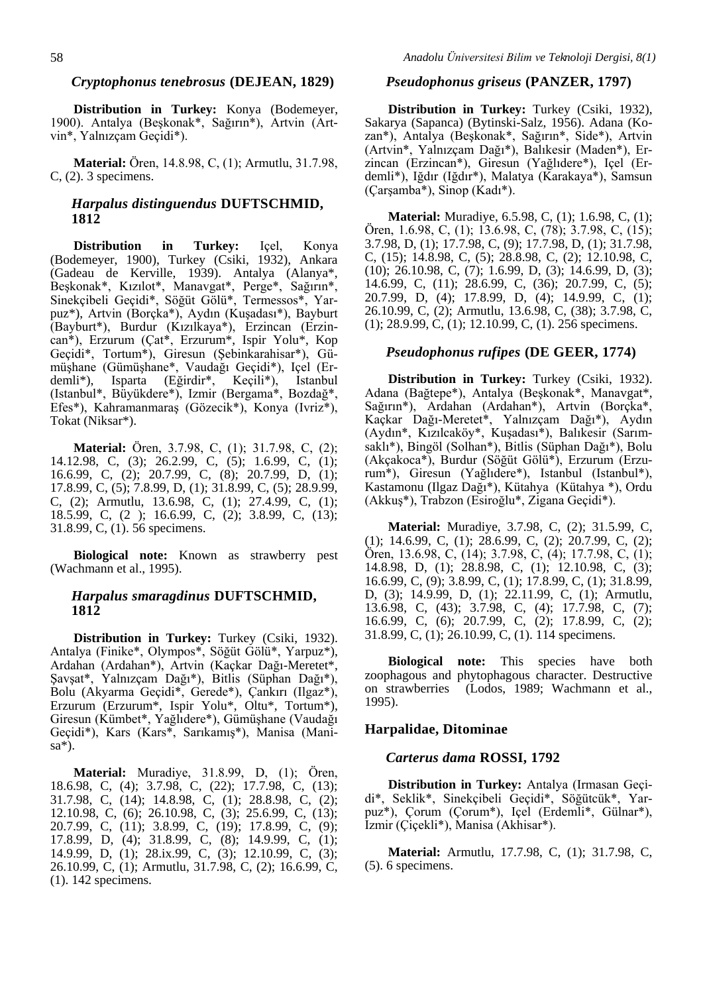#### *Cryptophonus tenebrosus* **(DEJEAN, 1829)**

**Distribution in Turkey:** Konya (Bodemeyer, 1900). Antalya (Beşkonak\*, Sağırın\*), Artvin (Artvin\*, Yalnızçam Geçidi\*).

**Material:** Ören, 14.8.98, C, (1); Armutlu, 31.7.98, C, (2). 3 specimens.

## *Harpalus distinguendus* **DUFTSCHMID, 1812**

**Distribution in Turkey:** Içel, Konya (Bodemeyer, 1900), Turkey (Csiki, 1932), Ankara (Gadeau de Kerville, 1939). Antalya (Alanya\*, Beşkonak\*, Kızılot\*, Manavgat\*, Perge\*, Sağırın\*, Sinekçibeli Geçidi\*, Söğüt Gölü\*, Termessos\*, Yarpuz\*), Artvin (Borçka\*), Aydın (Kuşadası\*), Bayburt (Bayburt\*), Burdur (Kızılkaya\*), Erzincan (Erzincan\*), Erzurum (Çat\*, Erzurum\*, Ispir Yolu\*, Kop Geçidi\*, Tortum\*), Giresun (Şebinkarahisar\*), Gümüşhane (Gümüşhane\*, Vaudağı Geçidi\*), Içel (Erdemli\*), Isparta (Eğirdir\*, Keçili\*), Istanbul (Istanbul\*, Büyükdere\*), Izmir (Bergama\*, Bozdağ\*, Efes\*), Kahramanmaraş (Gözecik\*), Konya (Ivriz\*), Tokat (Niksar\*).

**Material:** Ören, 3.7.98, C, (1); 31.7.98, C, (2); 14.12.98, C, (3); 26.2.99, C, (5); 1.6.99, C, (1); 16.6.99, C, (2); 20.7.99, C, (8); 20.7.99, D, (1); 17.8.99, C, (5); 7.8.99, D, (1); 31.8.99, C, (5); 28.9.99, C, (2); Armutlu, 13.6.98, C, (1); 27.4.99, C, (1); 18.5.99, C, (2 ); 16.6.99, C, (2); 3.8.99, C, (13); 31.8.99, C, (1). 56 specimens.

**Biological note:** Known as strawberry pest (Wachmann et al., 1995).

## *Harpalus smaragdinus* **DUFTSCHMID, 1812**

**Distribution in Turkey:** Turkey (Csiki, 1932). Antalya (Finike\*, Olympos\*, Söğüt Gölü\*, Yarpuz\*), Ardahan (Ardahan\*), Artvin (Kaçkar Dağı-Meretet\*, Şavşat\*, Yalnızçam Dağı\*), Bitlis (Süphan Dağı\*), Bolu (Akyarma Geçidi\*, Gerede\*), Çankırı (Ilgaz\*), Erzurum (Erzurum\*, Ispir Yolu\*, Oltu\*, Tortum\*), Giresun (Kümbet\*, Yağlıdere\*), Gümüşhane (Vaudağı Geçidi\*), Kars (Kars\*, Sarıkamış\*), Manisa (Manisa\*).

**Material:** Muradiye, 31.8.99, D, (1); Ören, 18.6.98, C, (4); 3.7.98, C, (22); 17.7.98, C, (13); 31.7.98, C, (14); 14.8.98, C, (1); 28.8.98, C, (2); 12.10.98, C, (6); 26.10.98, C, (3); 25.6.99, C, (13); 20.7.99, C, (11); 3.8.99, C, (19); 17.8.99, C, (9); 17.8.99, D, (4); 31.8.99, C, (8); 14.9.99, C, (1); 14.9.99, D, (1); 28.ix.99, C, (3); 12.10.99, C, (3); 26.10.99, C, (1); Armutlu, 31.7.98, C, (2); 16.6.99, C, (1). 142 specimens.

#### *Pseudophonus griseus* **(PANZER, 1797)**

**Distribution in Turkey:** Turkey (Csiki, 1932), Sakarya (Sapanca) (Bytinski-Salz, 1956). Adana (Kozan\*), Antalya (Beşkonak\*, Sağırın\*, Side\*), Artvin (Artvin\*, Yalnızçam Dağı\*), Balıkesir (Maden\*), Erzincan (Erzincan\*), Giresun (Yağlıdere\*), Içel (Erdemli\*), Iğdır (Iğdır\*), Malatya (Karakaya\*), Samsun (Çarşamba\*), Sinop (Kadı\*).

**Material:** Muradiye, 6.5.98, C, (1); 1.6.98, C, (1); Ören, 1.6.98, C, (1); 13.6.98, C, (78); 3.7.98, C, (15); 3.7.98, D, (1); 17.7.98, C, (9); 17.7.98, D, (1); 31.7.98, C, (15); 14.8.98, C, (5); 28.8.98, C, (2); 12.10.98, C, (10); 26.10.98, C, (7); 1.6.99, D, (3); 14.6.99, D, (3); 14.6.99, C, (11); 28.6.99, C, (36); 20.7.99, C, (5); 20.7.99, D, (4); 17.8.99, D, (4); 14.9.99, C, (1); 26.10.99, C, (2); Armutlu, 13.6.98, C, (38); 3.7.98, C, (1); 28.9.99, C, (1); 12.10.99, C, (1). 256 specimens.

## *Pseudophonus rufipes* **(DE GEER, 1774)**

**Distribution in Turkey:** Turkey (Csiki, 1932). Adana (Bağtepe\*), Antalya (Beşkonak\*, Manavgat\*, Sağırın\*), Ardahan (Ardahan\*), Artvin (Borçka\*, Kaçkar Dağı-Meretet\*, Yalnızçam Dağı\*), Aydın (Aydın\*, Kızılcaköy\*, Kuşadası\*), Balıkesir (Sarımsaklı\*), Bingöl (Solhan\*), Bitlis (Süphan Dağı\*), Bolu (Akçakoca\*), Burdur (Söğüt Gölü\*), Erzurum (Erzurum\*), Giresun (Yağlıdere\*), Istanbul (Istanbul\*), Kastamonu (Ilgaz Dağı\*), Kütahya (Kütahya \*), Ordu (Akkuş\*), Trabzon (Esiroğlu\*, Zigana Geçidi\*).

**Material:** Muradiye, 3.7.98, C, (2); 31.5.99, C, (1); 14.6.99, C, (1); 28.6.99, C, (2); 20.7.99, C, (2); Ören, 13.6.98, C, (14); 3.7.98, C, (4); 17.7.98, C, (1); 14.8.98, D, (1); 28.8.98, C, (1); 12.10.98, C, (3); 16.6.99, C, (9); 3.8.99, C, (1); 17.8.99, C, (1); 31.8.99, D, (3); 14.9.99, D, (1); 22.11.99, C, (1); Armutlu, 13.6.98, C, (43); 3.7.98, C, (4); 17.7.98, C, (7); 16.6.99, C, (6); 20.7.99, C, (2); 17.8.99, C, (2); 31.8.99, C, (1); 26.10.99, C, (1). 114 specimens.

**Biological note:** This species have both zoophagous and phytophagous character. Destructive on strawberries (Lodos, 1989; Wachmann et al., 1995).

## **Harpalidae, Ditominae**

#### *Carterus dama* **ROSSI, 1792**

**Distribution in Turkey:** Antalya (Irmasan Geçidi\*, Seklik\*, Sinekçibeli Geçidi\*, Söğütcük\*, Yarpuz\*), Çorum (Çorum\*), Içel (Erdemli\*, Gülnar\*), Izmir (Çiçekli\*), Manisa (Akhisar\*).

**Material:** Armutlu, 17.7.98, C, (1); 31.7.98, C, (5). 6 specimens.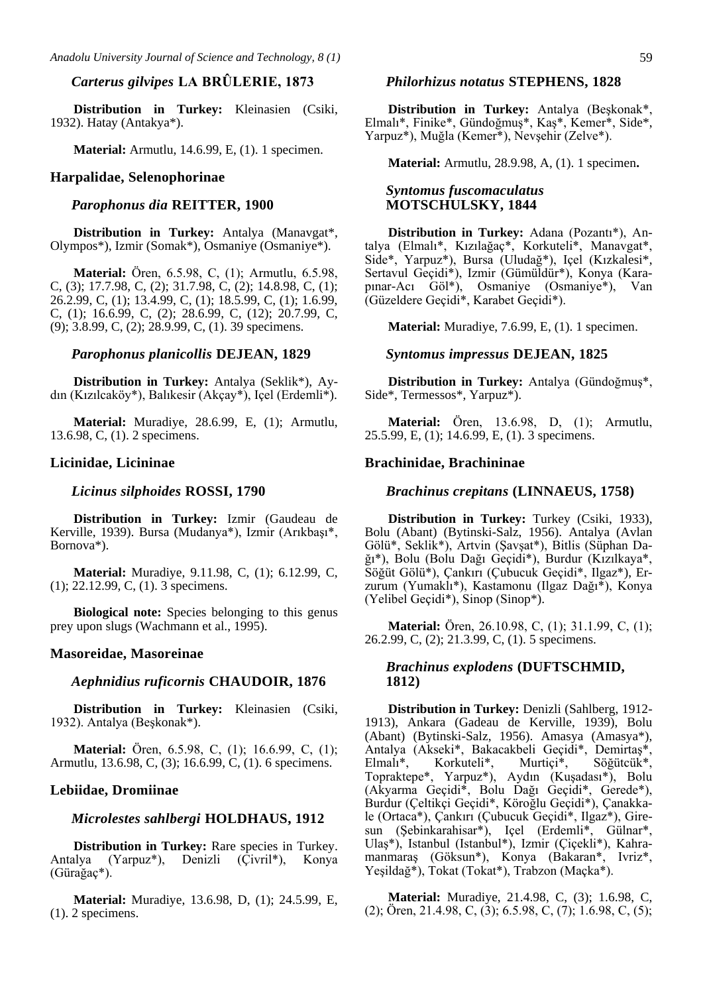## *Carterus gilvipes* **LA BRÛLERIE, 1873**

**Distribution in Turkey:** Kleinasien (Csiki, 1932). Hatay (Antakya\*).

**Material:** Armutlu, 14.6.99, E, (1). 1 specimen.

#### **Harpalidae, Selenophorinae**

#### *Parophonus dia* **REITTER, 1900**

**Distribution in Turkey:** Antalya (Manavgat\*, Olympos\*), Izmir (Somak\*), Osmaniye (Osmaniye\*).

**Material:** Ören, 6.5.98, C, (1); Armutlu, 6.5.98, C, (3); 17.7.98, C, (2); 31.7.98, C, (2); 14.8.98, C, (1); 26.2.99, C, (1); 13.4.99, C, (1); 18.5.99, C, (1); 1.6.99, C, (1); 16.6.99, C, (2); 28.6.99, C, (12); 20.7.99, C, (9); 3.8.99, C, (2); 28.9.99, C, (1). 39 specimens.

## *Parophonus planicollis* **DEJEAN, 1829**

**Distribution in Turkey:** Antalya (Seklik\*), Aydın (Kızılcaköy\*), Balıkesir (Akçay\*), Içel (Erdemli\*).

**Material:** Muradiye, 28.6.99, E, (1); Armutlu, 13.6.98, C, (1). 2 specimens.

#### **Licinidae, Licininae**

### *Licinus silphoides* **ROSSI, 1790**

**Distribution in Turkey:** Izmir (Gaudeau de Kerville, 1939). Bursa (Mudanya\*), Izmir (Arıkbaşı\*, Bornova\*).

**Material:** Muradiye, 9.11.98, C, (1); 6.12.99, C, (1); 22.12.99, C, (1). 3 specimens.

**Biological note:** Species belonging to this genus prey upon slugs (Wachmann et al., 1995).

#### **Masoreidae, Masoreinae**

#### *Aephnidius ruficornis* **CHAUDOIR, 1876**

**Distribution in Turkey:** Kleinasien (Csiki, 1932). Antalya (Beşkonak\*).

**Material:** Ören, 6.5.98, C, (1); 16.6.99, C, (1); Armutlu, 13.6.98, C, (3); 16.6.99, C, (1). 6 specimens.

#### **Lebiidae, Dromiinae**

## *Microlestes sahlbergi* **HOLDHAUS, 1912**

**Distribution in Turkey:** Rare species in Turkey. Antalya (Yarpuz\*), Denizli (Çivril\*), Konya (Gürağaç\*).

**Material:** Muradiye, 13.6.98, D, (1); 24.5.99, E, (1). 2 specimens.

### *Philorhizus notatus* **STEPHENS, 1828**

**Distribution in Turkey:** Antalya (Beşkonak\*, Elmalı\*, Finike\*, Gündoğmuş\*, Kaş\*, Kemer\*, Side\*, Yarpuz\*), Muğla (Kemer\*), Nevşehir (Zelve\*).

**Material:** Armutlu, 28.9.98, A, (1). 1 specimen**.**

#### *Syntomus fuscomaculatus*  **MOTSCHULSKY, 1844**

**Distribution in Turkey:** Adana (Pozantı\*), Antalya (Elmalı\*, Kızılağaç\*, Korkuteli\*, Manavgat\*, Side\*, Yarpuz\*), Bursa (Uludağ\*), Içel (Kızkalesi\*, Sertavul Geçidi\*), Izmir (Gümüldür\*), Konya (Karapınar-Acı Göl\*), Osmaniye (Osmaniye\*), Van (Güzeldere Geçidi\*, Karabet Geçidi\*).

**Material:** Muradiye, 7.6.99, E, (1). 1 specimen.

### *Syntomus impressus* **DEJEAN, 1825**

**Distribution in Turkey:** Antalya (Gündoğmuş\*, Side\*, Termessos\*, Yarpuz\*).

**Material:** Ören, 13.6.98, D, (1); Armutlu, 25.5.99, E, (1); 14.6.99, E, (1). 3 specimens.

#### **Brachinidae, Brachininae**

## *Brachinus crepitans* **(LINNAEUS, 1758)**

**Distribution in Turkey:** Turkey (Csiki, 1933), Bolu (Abant) (Bytinski-Salz, 1956). Antalya (Avlan Gölü\*, Seklik\*), Artvin (Şavşat\*), Bitlis (Süphan Dağı\*), Bolu (Bolu Dağı Geçidi\*), Burdur (Kızılkaya\*, Söğüt Gölü\*), Çankırı (Çubucuk Geçidi\*, Ilgaz\*), Erzurum (Yumaklı\*), Kastamonu (Ilgaz Dağı\*), Konya (Yelibel Geçidi\*), Sinop (Sinop\*).

**Material:** Ören, 26.10.98, C, (1); 31.1.99, C, (1); 26.2.99, C, (2); 21.3.99, C, (1). 5 specimens.

## *Brachinus explodens* **(DUFTSCHMID, 1812)**

**Distribution in Turkey:** Denizli (Sahlberg, 1912- 1913), Ankara (Gadeau de Kerville, 1939), Bolu (Abant) (Bytinski-Salz, 1956). Amasya (Amasya\*), Antalya (Akseki\*, Bakacakbeli Geçidi\*, Demirtaş\*, Elmalı\*, Korkuteli\*, Murtiçi\*, Söğütcük\*, Topraktepe\*, Yarpuz\*), Aydın (Kuşadası\*), Bolu (Akyarma Geçidi\*, Bolu Dağı Geçidi\*, Gerede\*), Burdur (Çeltikçi Geçidi\*, Köroğlu Geçidi\*), Çanakkale (Ortaca\*), Çankırı (Çubucuk Geçidi\*, Ilgaz\*), Giresun (Şebinkarahisar\*), Içel (Erdemli\*, Gülnar\*, Ulaş\*), Istanbul (Istanbul\*), Izmir (Çiçekli\*), Kahramanmaraş (Göksun\*), Konya (Bakaran\*, Ivriz\*, Yeşildağ\*), Tokat (Tokat\*), Trabzon (Maçka\*).

**Material:** Muradiye, 21.4.98, C, (3); 1.6.98, C, (2); Ören, 21.4.98, C, (3); 6.5.98, C, (7); 1.6.98, C, (5);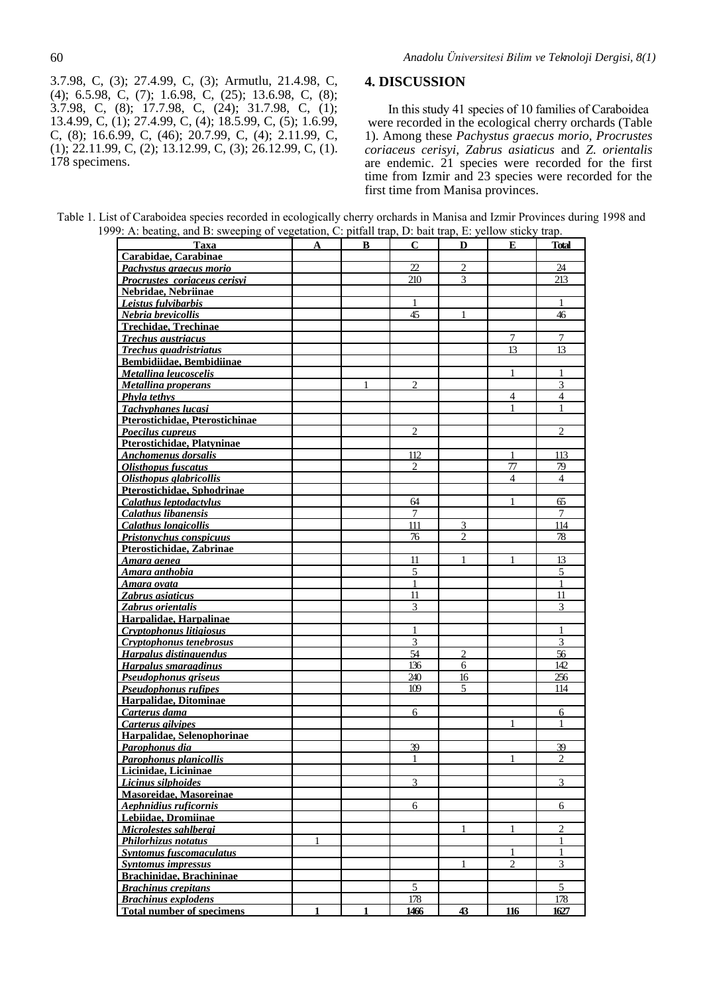3.7.98, C, (3); 27.4.99, C, (3); Armutlu, 21.4.98, C, (4); 6.5.98, C, (7); 1.6.98, C, (25); 13.6.98, C, (8); 3.7.98, C, (8); 17.7.98, C, (24); 31.7.98, C, (1); 13.4.99, C, (1); 27.4.99, C, (4); 18.5.99, C, (5); 1.6.99, C, (8); 16.6.99, C, (46); 20.7.99, C, (4); 2.11.99, C,  $(1)$ ; 22.11.99, C, (2); 13.12.99, C, (3); 26.12.99, C, (1). 178 specimens.

## **4. DISCUSSION**

In this study 41 species of 10 families of Caraboidea were recorded in the ecological cherry orchards (Table 1). Among these *Pachystus graecus morio, Procrustes coriaceus cerisyi, Zabrus asiaticus* and *Z. orientalis* are endemic. 21 species were recorded for the first time from Izmir and 23 species were recorded for the first time from Manisa provinces.

Table 1. List of Caraboidea species recorded in ecologically cherry orchards in Manisa and Izmir Provinces during 1998 and 1999: A: beating, and B: sweeping of vegetation, C: pitfall trap, D: bait trap, E: yellow sticky trap.

| Taxa                             | A | в | C              | D              | E              | Total                       |
|----------------------------------|---|---|----------------|----------------|----------------|-----------------------------|
| Carabidae, Carabinae             |   |   |                |                |                |                             |
| Pachystus graecus morio          |   |   | 22             | 2              |                | 24                          |
| Procrustes coriaceus cerisvi     |   |   | 210            | 3              |                | 213                         |
| Nebridae, Nebriinae              |   |   |                |                |                |                             |
| Leistus fulvibarbis              |   |   |                |                |                |                             |
| Nebria brevicollis               |   |   | 45             | 1              |                | 46                          |
| <b>Trechidae, Trechinae</b>      |   |   |                |                |                |                             |
| <b>Trechus austriacus</b>        |   |   |                |                | 7              | 7                           |
| Trechus quadristriatus           |   |   |                |                | 13             | 13                          |
| <b>Bembidiidae, Bembidiinae</b>  |   |   |                |                |                |                             |
| Metallina leucoscelis            |   |   |                |                | 1              |                             |
| Metallina properans              |   |   | $\overline{2}$ |                |                | 3                           |
| <b>Phyla tethys</b>              |   |   |                |                | $\overline{4}$ | 4                           |
| <b>Tachyphanes lucasi</b>        |   |   |                |                | 1              |                             |
| Pterostichidae, Pterostichinae   |   |   |                |                |                |                             |
| Poecilus cupreus                 |   |   | $\overline{c}$ |                |                | $\mathcal{D}$               |
| Pterostichidae, Platyninae       |   |   |                |                |                |                             |
| <b>Anchomenus</b> dorsalis       |   |   | 112            |                | $\mathbf{1}$   | 113                         |
| <b>Olisthopus fuscatus</b>       |   |   | $\overline{c}$ |                | 77             | 79                          |
| Olisthopus glabricollis          |   |   |                |                | $\overline{4}$ | $\overline{4}$              |
| Pterostichidae, Sphodrinae       |   |   |                |                |                |                             |
| Calathus leptodactylus           |   |   | 64             |                | 1              | 65                          |
| <b>Calathus libanensis</b>       |   |   | 7              |                |                | 7                           |
| <b>Calathus longicollis</b>      |   |   | 111            | 3              |                | 114                         |
| <b>Pristonychus</b> conspicuus   |   |   | 76             | 2              |                | 78                          |
| Pterostichidae, Zabrinae         |   |   |                |                |                |                             |
| <u>Amara aenea</u>               |   |   | 11             | 1              | 1              | 13                          |
| Amara anthobia                   |   |   | 5              |                |                | 5                           |
| Amara ovata                      |   |   | $\mathbf{1}$   |                |                | 1                           |
| Zabrus asiaticus                 |   |   | 11             |                |                | 11                          |
| Zabrus orientalis                |   |   | 3              |                |                | 3                           |
| Harpalidae, Harpalinae           |   |   |                |                |                |                             |
| Cryptophonus litigiosus          |   |   | 1              |                |                |                             |
| Cryptophonus tenebrosus          |   |   | 3              |                |                | 3                           |
| Harpalus distinguendus           |   |   | 54             | $\overline{c}$ |                | 56                          |
| Harpalus smaragdinus             |   |   | 136            | 6              |                | 142                         |
| Pseudophonus griseus             |   |   | 240            | 16             |                | 256                         |
| Pseudophonus rufipes             |   |   | 109            | 5              |                | 114                         |
| Harpalidae, Ditominae            |   |   |                |                |                |                             |
| Carterus dama                    |   |   | 6              |                |                | 6                           |
| Carterus gilvipes                |   |   |                |                | 1              | 1                           |
| Harpalidae, Selenophorinae       |   |   |                |                |                |                             |
| Parophonus dia                   |   |   | 39             |                |                | 39                          |
| <b>Parophonus planicollis</b>    |   |   | 1              |                | 1              | $\mathcal{D}_{\mathcal{L}}$ |
| Licinidae, Licininae             |   |   |                |                |                |                             |
| Licinus silphoides               |   |   | 3              |                |                | 3                           |
| Masoreidae, Masoreinae           |   |   |                |                |                |                             |
| Aephnidius ruficornis            |   |   | 6              |                |                | 6                           |
| Lebiidae, Dromiinae              |   |   |                |                |                |                             |
| Microlestes sahlbergi            |   |   |                |                | 1              | $\overline{2}$              |
| Philorhizus notatus              | 1 |   |                |                |                | 1                           |
| <b>Syntomus fuscomaculatus</b>   |   |   |                |                | 1              | 1                           |
| <b>Syntomus impressus</b>        |   |   |                | $\mathbf{1}$   | $\overline{2}$ | 3                           |
| Brachinidae, Brachininae         |   |   |                |                |                |                             |
| <b>Brachinus crepitans</b>       |   |   | 5              |                |                | $\overline{5}$              |
| <b>Brachinus explodens</b>       |   |   | 178            |                |                | 178                         |
| <b>Total number of specimens</b> |   |   | 1466           | 43             | 116            | 1627                        |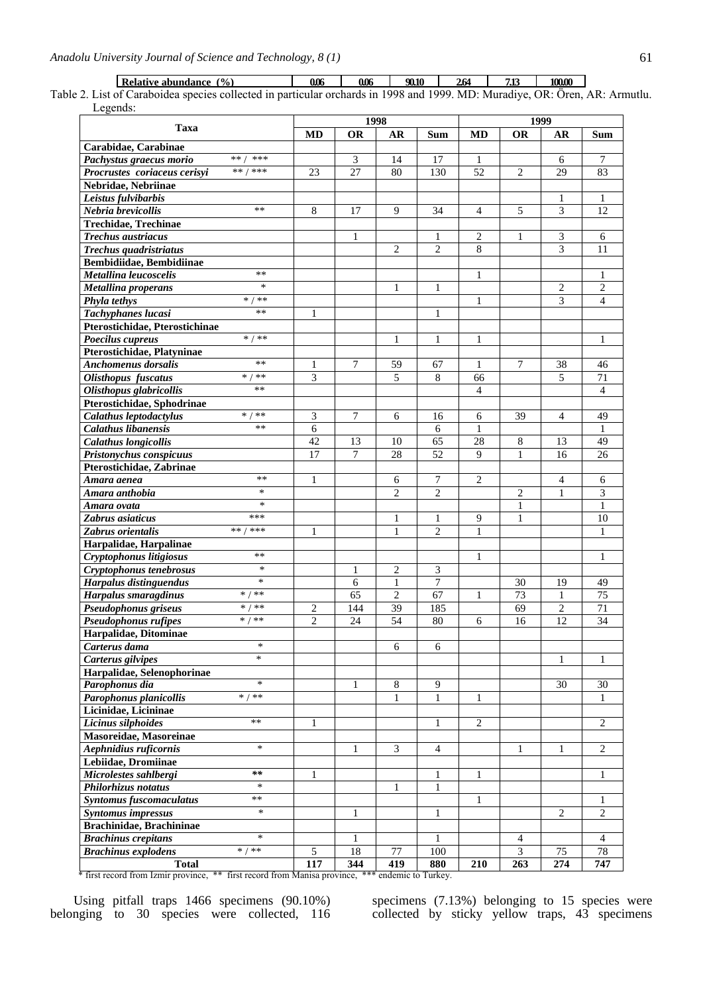**Relative abundance (%) 0.06 0.06 90.10 2.64 7.13 100.00**

Table 2. List of Caraboidea species collected in particular orchards in 1998 and 1999. MD: Muradiye, OR: Ören, AR: Armutlu. Legends:

|                                             | 1998           |              |                     |                                | 1999              |                  |                |                  |
|---------------------------------------------|----------------|--------------|---------------------|--------------------------------|-------------------|------------------|----------------|------------------|
| Taxa                                        | MD             | <b>OR</b>    | AR                  | <b>Sum</b>                     | MD                | <b>OR</b>        | AR             | Sum              |
| Carabidae, Carabinae                        |                |              |                     |                                |                   |                  |                |                  |
| ** /<br>***<br>Pachystus graecus morio      |                | 3            | 14                  | 17                             | 1                 |                  | 6              | 7                |
| ** / ***<br>Procrustes coriaceus cerisyi    | 23             | 27           | 80                  | 130                            | 52                | $\overline{2}$   | 29             | 83               |
| Nebridae, Nebriinae                         |                |              |                     |                                |                   |                  |                |                  |
| Leistus fulvibarbis                         |                |              |                     |                                |                   |                  | 1              | 1                |
| $**$<br>Nebria brevicollis                  | 8              | 17           | 9                   | 34                             | $\overline{4}$    | 5                | 3              | 12               |
| Trechidae, Trechinae                        |                |              |                     |                                |                   |                  |                |                  |
| Trechus austriacus                          |                | 1            |                     | 1                              | 2                 | 1                | 3              | 6                |
| Trechus quadristriatus                      |                |              | 2                   | $\overline{c}$                 | 8                 |                  | 3              | 11               |
| Bembidiidae, Bembidiinae                    |                |              |                     |                                |                   |                  |                |                  |
| $**$<br>Metallina leucoscelis               |                |              |                     |                                | $\mathbf{1}$      |                  |                | 1                |
| *<br>Metallina properans                    |                |              | 1                   | 1                              |                   |                  | 2              | $\overline{c}$   |
| $* / * *$<br>Phyla tethys                   |                |              |                     |                                | 1                 |                  | 3              | $\overline{4}$   |
| $**$<br>Tachyphanes lucasi                  | 1              |              |                     | 1                              |                   |                  |                |                  |
| Pterostichidae, Pterostichinae              |                |              |                     |                                |                   |                  |                |                  |
| $\frac{1}{*}$ / **<br>Poecilus cupreus      |                |              | $\mathbf{1}$        | 1                              | $\mathbf{1}$      |                  |                | 1                |
| Pterostichidae, Platyninae                  |                |              |                     |                                |                   |                  |                |                  |
| $**$<br>Anchomenus dorsalis                 | 1              | 7            | 59                  | 67                             | 1                 | 7                | 38             | 46               |
| $*$ /<br>$**$<br><b>Olisthopus</b> fuscatus | 3              |              | 5                   | 8                              | 66                |                  | 5              | 71               |
| **<br>Olisthopus glabricollis               |                |              |                     |                                | $\overline{4}$    |                  |                | $\overline{4}$   |
| Pterostichidae, Sphodrinae                  |                |              |                     |                                |                   |                  |                |                  |
| $* / * *$<br>Calathus leptodactylus         | 3              | 7            | 6                   | 16                             | 6                 | 39               | $\overline{4}$ | 49               |
| Calathus libanensis<br>**                   | 6              |              |                     | 6                              | 1                 |                  |                | 1                |
| <b>Calathus longicollis</b>                 | 42             | 13           | 10                  | 65                             | 28                | 8                | 13             | 49               |
| Pristonychus conspicuus                     | 17             | 7            | 28                  | 52                             | $\mathbf Q$       | 1                | 16             | 26               |
| Pterostichidae, Zabrinae                    |                |              |                     |                                |                   |                  |                |                  |
| $***$                                       |                |              |                     |                                |                   |                  |                |                  |
| Amara aenea<br>$\ast$                       | 1              |              | 6<br>$\overline{2}$ | 7<br>$\overline{c}$            | 2                 |                  | 4              | 6                |
| Amara anthobia<br>$\ast$                    |                |              |                     |                                |                   | $\overline{c}$   | $\mathbf{1}$   | 3<br>1           |
| Amara ovata<br>***                          |                |              |                     |                                |                   | 1                |                | 10               |
| Zabrus asiaticus<br>** / ***                |                |              | 1<br>1              | $\mathbf{1}$<br>$\overline{2}$ | 9<br>$\mathbf{1}$ | $\mathbf{1}$     |                |                  |
| Zabrus orientalis                           | 1              |              |                     |                                |                   |                  |                | 1                |
| Harpalidae, Harpalinae<br>$**$              |                |              |                     |                                |                   |                  |                |                  |
| Cryptophonus litigiosus<br>$\ast$           |                |              |                     |                                | 1                 |                  |                | 1                |
| Cryptophonus tenebrosus<br>$\ast$           |                | 1<br>6       | $\overline{2}$      | 3<br>7                         |                   |                  | 19             |                  |
| <b>Harpalus distinguendus</b><br>$* / * *$  |                |              | $\mathbf{1}$        |                                |                   | 30               |                | 49               |
| Harpalus smaragdinus<br>$* / **$            |                | 65           | $\overline{2}$      | 67                             | 1                 | 73               | 1              | 75               |
| Pseudophonus griseus<br>$* / **$            | 2              | 144          | 39                  | 185                            |                   | 69               | $\overline{c}$ | 71               |
| Pseudophonus rufipes                        | $\overline{2}$ | 24           | 54                  | 80                             | 6                 | 16               | 12             | 34               |
| Harpalidae, Ditominae                       |                |              |                     |                                |                   |                  |                |                  |
| ∗<br>Carterus dama<br>$\ast$                |                |              | $\sqrt{6}$          | 6                              |                   |                  |                |                  |
| Carterus gilvipes                           |                |              |                     |                                |                   |                  | $\mathbf{1}$   | $\mathbf{1}$     |
| Harpalidae, Selenophorinae                  |                |              |                     |                                |                   |                  |                |                  |
| $\ast$<br>Parophonus dia                    |                | $\mathbf{1}$ | $\,8\,$             | 9                              |                   |                  | 30             | 30               |
| Parophonus planicollis<br>$* / **$          |                |              | 1                   | 1                              | 1                 |                  |                | 1                |
| Licinidae, Licininae                        |                |              |                     |                                |                   |                  |                |                  |
| $***$<br>Licinus silphoides                 | 1              |              |                     | 1                              | $\mathbf{2}$      |                  |                | $\overline{2}$   |
| Masoreidae, Masoreinae                      |                |              |                     |                                |                   |                  |                |                  |
| $\ast$<br>Aephnidius ruficornis             |                | 1            | 3                   | $\overline{4}$                 |                   | 1                | 1              | 2                |
| Lebiidae, Dromiinae                         |                |              |                     |                                |                   |                  |                |                  |
| Microlestes sahlbergi<br>$\ast\ast$         | 1              |              |                     | 1                              | 1                 |                  |                | 1                |
| $\ast$<br>Philorhizus notatus               |                |              | 1                   | $\mathbf{1}$                   |                   |                  |                |                  |
| **<br>Syntomus fuscomaculatus               |                |              |                     |                                | 1                 |                  |                | 1                |
| $\ast$<br><b>Syntomus impressus</b>         |                | $\mathbf{1}$ |                     | $\mathbf{1}$                   |                   |                  | $\overline{2}$ | $\overline{c}$   |
| Brachinidae, Brachininae                    |                |              |                     |                                |                   |                  |                |                  |
| $\ast$<br><b>Brachinus crepitans</b>        |                | 1            |                     | 1                              |                   | 4                |                | $\overline{4}$   |
| $* / * *$<br><b>Brachinus explodens</b>     | $\sqrt{5}$     | 18           | 77                  | 100                            |                   | 3                | 75             | 78               |
| <b>Total</b>                                | 117            | 344          | $\overline{419}$    | 880                            | 210               | $\overline{263}$ | 274            | $\overline{747}$ |

\* first record from Izmir province, \*\* first record from Manisa province, \*\*\* endemic to Turkey.

Using pitfall traps 1466 specimens (90.10%) belonging to 30 species were collected, 116 specimens (7.13%) belonging to 15 species were collected by sticky yellow traps, 43 specimens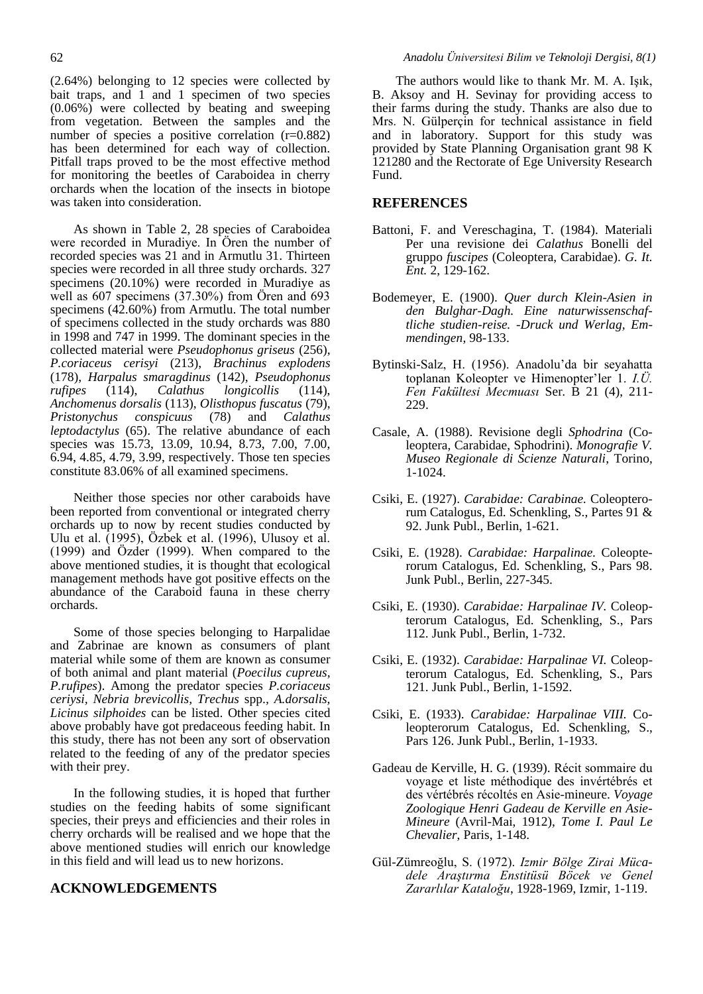(2.64%) belonging to 12 species were collected by bait traps, and 1 and 1 specimen of two species (0.06%) were collected by beating and sweeping from vegetation. Between the samples and the number of species a positive correlation (r=0.882) has been determined for each way of collection. Pitfall traps proved to be the most effective method for monitoring the beetles of Caraboidea in cherry orchards when the location of the insects in biotope was taken into consideration.

As shown in Table 2, 28 species of Caraboidea were recorded in Muradiye. In Ören the number of recorded species was 21 and in Armutlu 31. Thirteen species were recorded in all three study orchards. 327 specimens (20.10%) were recorded in Muradiye as well as 607 specimens (37.30%) from Ören and 693 specimens (42.60%) from Armutlu. The total number of specimens collected in the study orchards was 880 in 1998 and 747 in 1999. The dominant species in the collected material were *Pseudophonus griseus* (256), *P.coriaceus cerisyi* (213), *Brachinus explodens*  (178), *Harpalus smaragdinus* (142), *Pseudophonus rufipes* (114), *Calathus longicollis* (114), *Anchomenus dorsalis* (113), *Olisthopus fuscatus* (79), *Pristonychus conspicuus* (78) and *Calathus leptodactylus* (65). The relative abundance of each species was 15.73, 13.09, 10.94, 8.73, 7.00, 7.00, 6.94, 4.85, 4.79, 3.99, respectively. Those ten species constitute 83.06% of all examined specimens.

Neither those species nor other caraboids have been reported from conventional or integrated cherry orchards up to now by recent studies conducted by Ulu et al. (1995), Özbek et al. (1996), Ulusoy et al. (1999) and Özder (1999). When compared to the above mentioned studies, it is thought that ecological management methods have got positive effects on the abundance of the Caraboid fauna in these cherry orchards.

Some of those species belonging to Harpalidae and Zabrinae are known as consumers of plant material while some of them are known as consumer of both animal and plant material (*Poecilus cupreus, P.rufipes*). Among the predator species *P.coriaceus ceriysi, Nebria brevicollis, Trechus* spp.*, A.dorsalis, Licinus silphoides* can be listed. Other species cited above probably have got predaceous feeding habit. In this study, there has not been any sort of observation related to the feeding of any of the predator species with their prey.

In the following studies, it is hoped that further studies on the feeding habits of some significant species, their preys and efficiencies and their roles in cherry orchards will be realised and we hope that the above mentioned studies will enrich our knowledge in this field and will lead us to new horizons.

## **ACKNOWLEDGEMENTS**

The authors would like to thank Mr. M. A. Işık, B. Aksoy and H. Sevinay for providing access to their farms during the study. Thanks are also due to Mrs. N. Gülperçin for technical assistance in field and in laboratory. Support for this study was provided by State Planning Organisation grant 98 K 121280 and the Rectorate of Ege University Research Fund.

## **REFERENCES**

- Battoni, F. and Vereschagina, T. (1984). Materiali Per una revisione dei *Calathus* Bonelli del gruppo *fuscipes* (Coleoptera, Carabidae). *G. It. Ent.* 2, 129-162.
- Bodemeyer, E. (1900). *Quer durch Klein-Asien in den Bulghar-Dagh. Eine naturwissenschaftliche studien-reise. -Druck und Werlag, Emmendingen*, 98-133.
- Bytinski-Salz, H. (1956). Anadolu'da bir seyahatta toplanan Koleopter ve Himenopter'ler 1. *I.Ü. Fen Fakültesi Mecmuası* Ser*.* B 21 (4), 211- 229.
- Casale, A. (1988). Revisione degli *Sphodrina* (Coleoptera, Carabidae, Sphodrini). *Monografie V. Museo Regionale di Scienze Naturali*, Torino, 1-1024.
- Csiki, E. (1927). *Carabidae: Carabinae.* Coleopterorum Catalogus, Ed. Schenkling, S., Partes 91 & 92. Junk Publ., Berlin, 1-621.
- Csiki, E. (1928). *Carabidae: Harpalinae.* Coleopterorum Catalogus, Ed. Schenkling, S., Pars 98. Junk Publ., Berlin, 227-345.
- Csiki, E. (1930). *Carabidae: Harpalinae IV.* Coleopterorum Catalogus, Ed. Schenkling, S., Pars 112. Junk Publ., Berlin, 1-732.
- Csiki, E. (1932). *Carabidae: Harpalinae VI.* Coleopterorum Catalogus, Ed. Schenkling, S., Pars 121. Junk Publ., Berlin, 1-1592.
- Csiki, E. (1933). *Carabidae: Harpalinae VIII.* Coleopterorum Catalogus, Ed. Schenkling, S., Pars 126. Junk Publ., Berlin, 1-1933.
- Gadeau de Kerville, H. G. (1939). Récit sommaire du voyage et liste méthodique des invértébrés et des vértébrés récoltés en Asie-mineure. *Voyage Zoologique Henri Gadeau de Kerville en Asie-Mineure* (Avril-Mai, 1912), *Tome I. Paul Le Chevalier*, Paris, 1-148.
- Gül-Zümreoğlu, S. (1972). *Izmir Bölge Zirai Mücadele Araştırma Enstitüsü Böcek ve Genel Zararlılar Kataloğu*, 1928-1969, Izmir, 1-119.